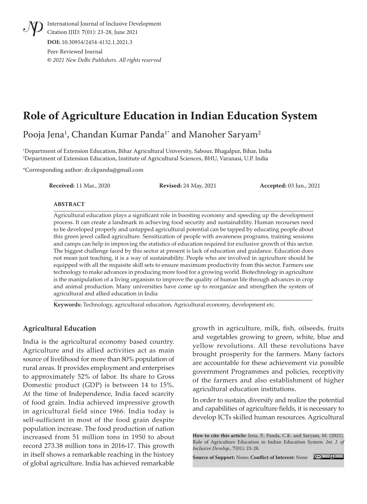International Journal of Inclusive Development Citation IJID: **7**(01): 23-28, June 2021 **DOI:** 10.30954/2454-4132.1.2021.3

Peer-Reviewed Journal **©** *2021 New Delhi Publishers. All rights reserved*

# **Role of Agriculture Education in Indian Education System**

Pooja Jena<sup>1</sup>, Chandan Kumar Panda<sup>1</sup>\* and Manoher Saryam<sup>2</sup>

1 Department of Extension Education, Bihar Agricultural University, Sabour, Bhagalpur, Bihar, India 2 Department of Extension Education, Institute of Agricultural Sciences, BHU, Varanasi, U.P. India

\*Corresponding author: dr.ckpanda@gmail.com

**Received:** 11 Mar., 2020 **Revised:** 24 May, 2021 **Accepted:** 03 Jun., 2021

#### **ABSTRACT**

Agricultural education plays a significant role in boosting economy and speeding up the development process. It can create a landmark in achieving food security and sustainability. Human recourses need to be developed properly and untapped agricultural potential can be tapped by educating people about this green jewel called agriculture. Sensitization of people with awareness programs, training sessions and camps can help in improving the statistics of education required for exclusive growth of this sector. The biggest challenge faced by this sector at present is lack of education and guidance. Education does not mean just teaching, it is a way of sustainability. People who are involved in agriculture should be equipped with all the requisite skill sets to ensure maximum productivity from this sector. Farmers use technology to make advances in producing more food for a growing world. Biotechnology in agriculture is the manipulation of a living organism to improve the quality of human life through advances in crop and animal production. Many universities have come up to reorganize and strengthen the system of agricultural and allied education in India

**Keywords:** Technology, agricultural education, Agricultural economy, development etc.

#### **Agricultural Education**

India is the agricultural economy based country. Agriculture and its allied activities act as main source of livelihood for more than 80% population of rural areas. It provides employment and enterprises to approximately 52% of labor. Its share to Gross Domestic product (GDP) is between 14 to 15%. At the time of Independence, India faced scarcity of food grain. India achieved impressive growth in agricultural field since 1966. India today is self-sufficient in most of the food grain despite population increase. The food production of nation increased from 51 million tons in 1950 to about record 273.38 million tons in 2016-17. This growth in itself shows a remarkable reaching in the history of global agriculture. India has achieved remarkable

growth in agriculture, milk, fish, oilseeds, fruits and vegetables growing to green, white, blue and yellow revolutions. All these revolutions have brought prosperity for the farmers. Many factors are accountable for these achievement viz possible government Programmes and policies, receptivity of the farmers and also establishment of higher agricultural education institutions.

In order to sustain, diversify and realize the potential and capabilities of agriculture fields, it is necessary to develop ICTs skilled human resources. Agricultural

**How to cite this article:** Jena, P., Panda, C.K. and Saryam, M. (2021). Role of Agriculture Education in Indian Education System. *Int. J. of Inclusive Develop.,* **7**(01): 23-28.

**Source of Support:** None; **Conflict of Interest:** None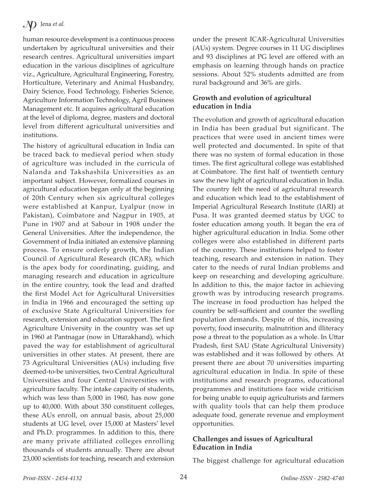# $\mathcal{Y}$  Jena *et al.*

human resource development is a continuous process undertaken by agricultural universities and their research centres. Agricultural universities impart education in the various disciplines of agriculture viz., Agriculture, Agricultural Engineering, Forestry, Horticulture, Veterinary and Animal Husbandry, Dairy Science, Food Technology, Fisheries Science, Agriculture Information Technology, Agril Business Management etc. It acquires agricultural education at the level of diploma, degree, masters and doctoral level from different agricultural universities and institutions.

The history of agricultural education in India can be traced back to medieval period when study of agriculture was included in the curricula of Nalanda and Takshashila Universities as an important subject. However, formalized courses in agricultural education began only at the beginning of 20th Century when six agricultural colleges were established at Kanpur, Lyalpur (now in Pakistan), Coimbatore and Nagpur in 1905, at Pune in 1907 and at Sabour in 1908 under the General Universities. After the independence, the Government of India initiated an extensive planning process. To ensure orderly growth, the Indian Council of Agricultural Research (ICAR), which is the apex body for coordinating, guiding, and managing research and education in agriculture in the entire country, took the lead and drafted the first Model Act for Agricultural Universities in India in 1966 and encouraged the setting up of exclusive State Agricultural Universities for research, extension and education support. The first Agriculture University in the country was set up in 1960 at Pantnagar (now in Uttarakhand), which paved the way for establishment of agricultural universities in other states. At present, there are 73 Agricultural Universities (AUs) including five deemed-to-be universities, two Central Agricultural Universities and four Central Universities with agriculture faculty. The intake capacity of students, which was less than 5,000 in 1960, has now gone up to 40,000. With about 350 constituent colleges, these AUs enroll, on annual basis, about 25,000 students at UG level, over 15,000 at Masters' level and Ph.D. programmes. In addition to this, there are many private affiliated colleges enrolling thousands of students annually. There are about 23,000 scientists for teaching, research and extension

under the present ICAR-Agricultural Universities (AUs) system. Degree courses in 11 UG disciplines and 93 disciplines at PG level are offered with an emphasis on learning through hands on practice sessions. About 52% students admitted are from rural background and 36% are girls.

#### **Growth and evolution of agricultural education in India**

The evolution and growth of agricultural education in India has been gradual but significant. The practices that were used in ancient times were well protected and documented. In spite of that there was no system of formal education in those times. The first agricultural college was established at Coimbatore. The first half of twentieth century saw the new light of agricultural education in India. The country felt the need of agricultural research and education which lead to the establishment of Imperial Agricultural Research Institute (IARI) at Pusa. It was granted deemed status by UGC to foster education among youth. It began the era of higher agricultural education in India. Some other colleges were also established in different parts of the country. These institutions helped to foster teaching, research and extension in nation. They cater to the needs of rural Indian problems and keep on researching and developing agriculture. In addition to this, the major factor in achieving growth was by introducing research programs. The increase in food production has helped the country be self-sufficient and counter the swelling population demands. Despite of this, increasing poverty, food insecurity, malnutrition and illiteracy pose a threat to the population as a whole. In Uttar Pradesh, first SAU (State Agricultural University) was established and it was followed by others. At present there are about 70 universities imparting agricultural education in India. In spite of these institutions and research programs, educational programmes and institutions face wide criticism for being unable to equip agriculturists and farmers with quality tools that can help them produce adequate food, generate revenue and employment opportunities.

#### **Challenges and issues of Agricultural Education in India**

The biggest challenge for agricultural education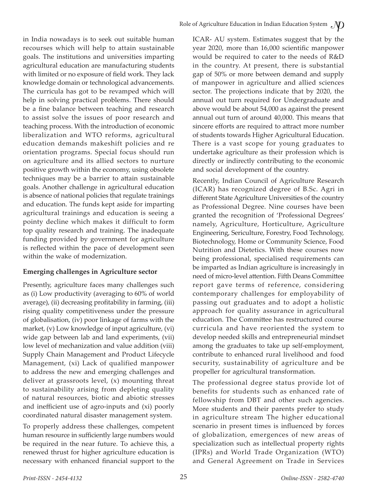in India nowadays is to seek out suitable human recourses which will help to attain sustainable goals. The institutions and universities imparting agricultural education are manufacturing students with limited or no exposure of field work. They lack knowledge domain or technological advancements. The curricula has got to be revamped which will help in solving practical problems. There should be a fine balance between teaching and research to assist solve the issues of poor research and teaching process. With the introduction of economic liberalization and WTO reforms, agricultural education demands makeshift policies and re orientation programs. Special focus should run on agriculture and its allied sectors to nurture positive growth within the economy, using obsolete techniques may be a barrier to attain sustainable goals. Another challenge in agricultural education is absence of national policies that regulate trainings and education. The funds kept aside for imparting agricultural trainings and education is seeing a pointy decline which makes it difficult to form top quality research and training. The inadequate funding provided by government for agriculture is reflected within the pace of development seen within the wake of modernization.

### **Emerging challenges in Agriculture sector**

Presently, agriculture faces many challenges such as (i) Low productivity (averaging to 60% of world average), (ii) decreasing profitability in farming, (iii) rising quality competitiveness under the pressure of globalisation, (iv) poor linkage of farms with the market, (v) Low knowledge of input agriculture, (vi) wide gap between lab and land experiments, (vii) low level of mechanization and value addition (viii) Supply Chain Management and Product Lifecycle Management, (xi) Lack of qualified manpower to address the new and emerging challenges and deliver at grassroots level, (x) mounting threat to sustainability arising from depleting quality of natural resources, biotic and abiotic stresses and inefficient use of agro-inputs and (xi) poorly coordinated natural disaster management system.

To properly address these challenges, competent human resource in sufficiently large numbers would be required in the near future. To achieve this, a renewed thrust for higher agriculture education is necessary with enhanced financial support to the ICAR- AU system. Estimates suggest that by the year 2020, more than 16,000 scientific manpower would be required to cater to the needs of R&D in the country. At present, there is substantial gap of 50% or more between demand and supply of manpower in agriculture and allied sciences sector. The projections indicate that by 2020, the annual out turn required for Undergraduate and above would be about 54,000 as against the present annual out turn of around 40,000. This means that sincere efforts are required to attract more number of students towards Higher Agricultural Education. There is a vast scope for young graduates to undertake agriculture as their profession which is directly or indirectly contributing to the economic and social development of the country.

Recently, Indian Council of Agriculture Research (ICAR) has recognized degree of B.Sc. Agri in different State Agriculture Universities of the country as Professional Degree. Nine courses have been granted the recognition of 'Professional Degrees' namely, Agriculture, Horticulture, Agriculture Engineering, Sericulture, Forestry, Food Technology, Biotechnology, Home or Community Science, Food Nutrition and Dietetics. With these courses now being professional, specialised requirements can be imparted as Indian agriculture is increasingly in need of micro-level attention. Fifth Deans Committee report gave terms of reference, considering contemporary challenges for employability of passing out graduates and to adopt a holistic approach for quality assurance in agricultural education. The Committee has restructured course curricula and have reoriented the system to develop needed skills and entrepreneurial mindset among the graduates to take up self-employment, contribute to enhanced rural livelihood and food security, sustainability of agriculture and be propeller for agricultural transformation.

The professional degree status provide lot of benefits for students such as enhanced rate of fellowship from DBT and other such agencies. More students and their parents prefer to study in agriculture stream The higher educational scenario in present times is influenced by forces of globalization, emergences of new areas of specialization such as intellectual property rights (IPRs) and World Trade Organization (WTO) and General Agreement on Trade in Services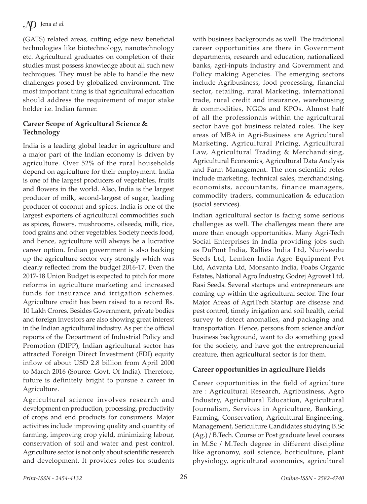# $\mathcal{Y}$  Jena *et al.*

(GATS) related areas, cutting edge new beneficial technologies like biotechnology, nanotechnology etc. Agricultural graduates on completion of their studies must possess knowledge about all such new techniques. They must be able to handle the new challenges posed by globalized environment. The most important thing is that agricultural education should address the requirement of major stake holder i.e. Indian farmer.

#### **Career Scope of Agricultural Science & Technology**

India is a leading global leader in agriculture and a major part of the Indian economy is driven by agriculture. Over 52% of the rural households depend on agriculture for their employment. India is one of the largest producers of vegetables, fruits and flowers in the world. Also, India is the largest producer of milk, second-largest of sugar, leading producer of coconut and spices. India is one of the largest exporters of agricultural commodities such as spices, flowers, mushrooms, oilseeds, milk, rice, food grains and other vegetables. Society needs food, and hence, agriculture will always be a lucrative career option. Indian government is also backing up the agriculture sector very strongly which was clearly reflected from the budget 2016-17. Even the 2017-18 Union Budget is expected to pitch for more reforms in agriculture marketing and increased funds for insurance and irrigation schemes. Agriculture credit has been raised to a record Rs. 10 Lakh Crores. Besides Government, private bodies and foreign investors are also showing great interest in the Indian agricultural industry. As per the official reports of the Department of Industrial Policy and Promotion (DIPP), Indian agricultural sector has attracted Foreign Direct Investment (FDI) equity inflow of about USD 2.8 billion from April 2000 to March 2016 (Source: Govt. Of India). Therefore, future is definitely bright to pursue a career in Agriculture.

Agricultural science involves research and development on production, processing, productivity of crops and end products for consumers. Major activities include improving quality and quantity of farming, improving crop yield, minimizing labour, conservation of soil and water and pest control. Agriculture sector is not only about scientific research and development. It provides roles for students with business backgrounds as well. The traditional career opportunities are there in Government departments, research and education, nationalized banks, agri-inputs industry and Government and Policy making Agencies. The emerging sectors include Agribusiness, food processing, financial sector, retailing, rural Marketing, international trade, rural credit and insurance, warehousing & commodities, NGOs and KPOs. Almost half of all the professionals within the agricultural sector have got business related roles. The key areas of MBA in Agri-Business are Agricultural Marketing, Agricultural Pricing, Agricultural Law, Agricultural Trading & Merchandising, Agricultural Economics, Agricultural Data Analysis and Farm Management. The non-scientific roles include marketing, technical sales, merchandising, economists, accountants, finance managers, commodity traders, communication & education (social services).

Indian agricultural sector is facing some serious challenges as well. The challenges mean there are more than enough opportunities. Many Agri-Tech Social Enterprises in India providing jobs such as DuPont India, Rallies India Ltd, Nuziveedu Seeds Ltd, Lemken India Agro Equipment Pvt Ltd, Advanta Ltd, Monsanto India, Poabs Organic Estates, National Agro Industry, Godrej Agrovet Ltd, Rasi Seeds. Several startups and entrepreneurs are coming up within the agricultural sector. The four Major Areas of AgriTech Startup are disease and pest control, timely irrigation and soil health, aerial survey to detect anomalies, and packaging and transportation. Hence, persons from science and/or business background, want to do something good for the society, and have got the entrepreneurial creature, then agricultural sector is for them.

### **Career opportunities in agriculture Fields**

Career opportunities in the field of agriculture are : Agricultural Research, Agribusiness, Agro Industry, Agricultural Education, Agricultural Journalism, Services in Agriculture, Banking, Farming, Conservation, Agricultural Engineering, Management, Sericulture Candidates studying B.Sc (Ag.) / B.Tech. Course or Post graduate level courses in M.Sc / M.Tech degree in different discipline like agronomy, soil science, horticulture, plant physiology, agricultural economics, agricultural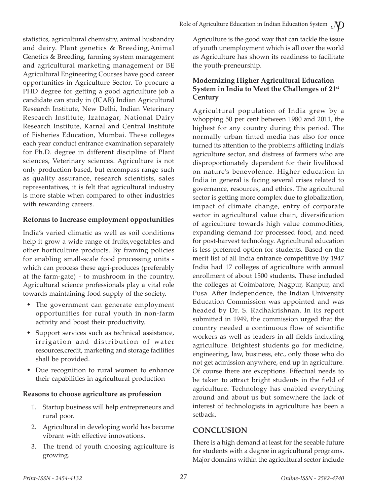statistics, agricultural chemistry, animal husbandry and dairy. Plant genetics & Breeding,Animal Genetics & Breeding, farming system management and agricultural marketing management or BE Agricultural Engineering Courses have good career opportunities in Agriculture Sector. To procure a PHD degree for getting a good agriculture job a candidate can study in (ICAR) Indian Agricultural Research Institute, New Delhi, Indian Veterinary Research Institute, Izatnagar, National Dairy Research Institute, Karnal and Central Institute of Fisheries Education, Mumbai. These colleges each year conduct entrance examination separately for Ph.D. degree in different discipline of Plant sciences, Veterinary sciences. Agriculture is not only production-based, but encompass range such as quality assurance, research scientists, sales representatives, it is felt that agricultural industry is more stable when compared to other industries with rewarding careers.

### **Reforms to Increase employment opportunities**

India's varied climatic as well as soil conditions help it grow a wide range of fruits,vegetables and other horticulture products. By framing policies for enabling small-scale food processing units which can process these agri-produces (preferably at the farm-gate) - to mushroom in the country. Agricultural science professionals play a vital role towards maintaining food supply of the society.

- The government can generate employment opportunities for rural youth in non-farm activity and boost their productivity.
- Support services such as technical assistance, irrigation and distribution of water resources,credit, marketing and storage facilities shall be provided.
- Due recognition to rural women to enhance their capabilities in agricultural production

# **Reasons to choose agriculture as profession**

- 1. Startup business will help entrepreneurs and rural poor.
- 2. Agricultural in developing world has become vibrant with effective innovations.
- 3. The trend of youth choosing agriculture is growing.

Agriculture is the good way that can tackle the issue of youth unemployment which is all over the world as Agriculture has shown its readiness to facilitate the youth-preneurship.

### **Modernizing Higher Agricultural Education System in India to Meet the Challenges of 21st Century**

Agricultural population of India grew by a whopping 50 per cent between 1980 and 2011, the highest for any country during this period. The normally urban tinted media has also for once turned its attention to the problems afflicting India's agriculture sector, and distress of farmers who are disproportionately dependent for their livelihood on nature's benevolence. Higher education in India in general is facing several crises related to governance, resources, and ethics. The agricultural sector is getting more complex due to globalization, impact of climate change, entry of corporate sector in agricultural value chain, diversification of agriculture towards high value commodities, expanding demand for processed food, and need for post-harvest technology. Agricultural education is less preferred option for students. Based on the merit list of all India entrance competitive By 1947 India had 17 colleges of agriculture with annual enrollment of about 1500 students. These included the colleges at Coimbatore, Nagpur, Kanpur, and Pusa. After Independence, the Indian University Education Commission was appointed and was headed by Dr. S. Radhakrishnan. In its report submitted in 1949, the commission urged that the country needed a continuous flow of scientific workers as well as leaders in all fields including agriculture. Brightest students go for medicine, engineering, law, business, etc., only those who do not get admission anywhere, end up in agriculture. Of course there are exceptions. Effectual needs to be taken to attract bright students in the field of agriculture. Technology has enabled everything around and about us but somewhere the lack of interest of technologists in agriculture has been a setback.

# **CONCLUSION**

There is a high demand at least for the seeable future for students with a degree in agricultural programs. Major domains within the agricultural sector include